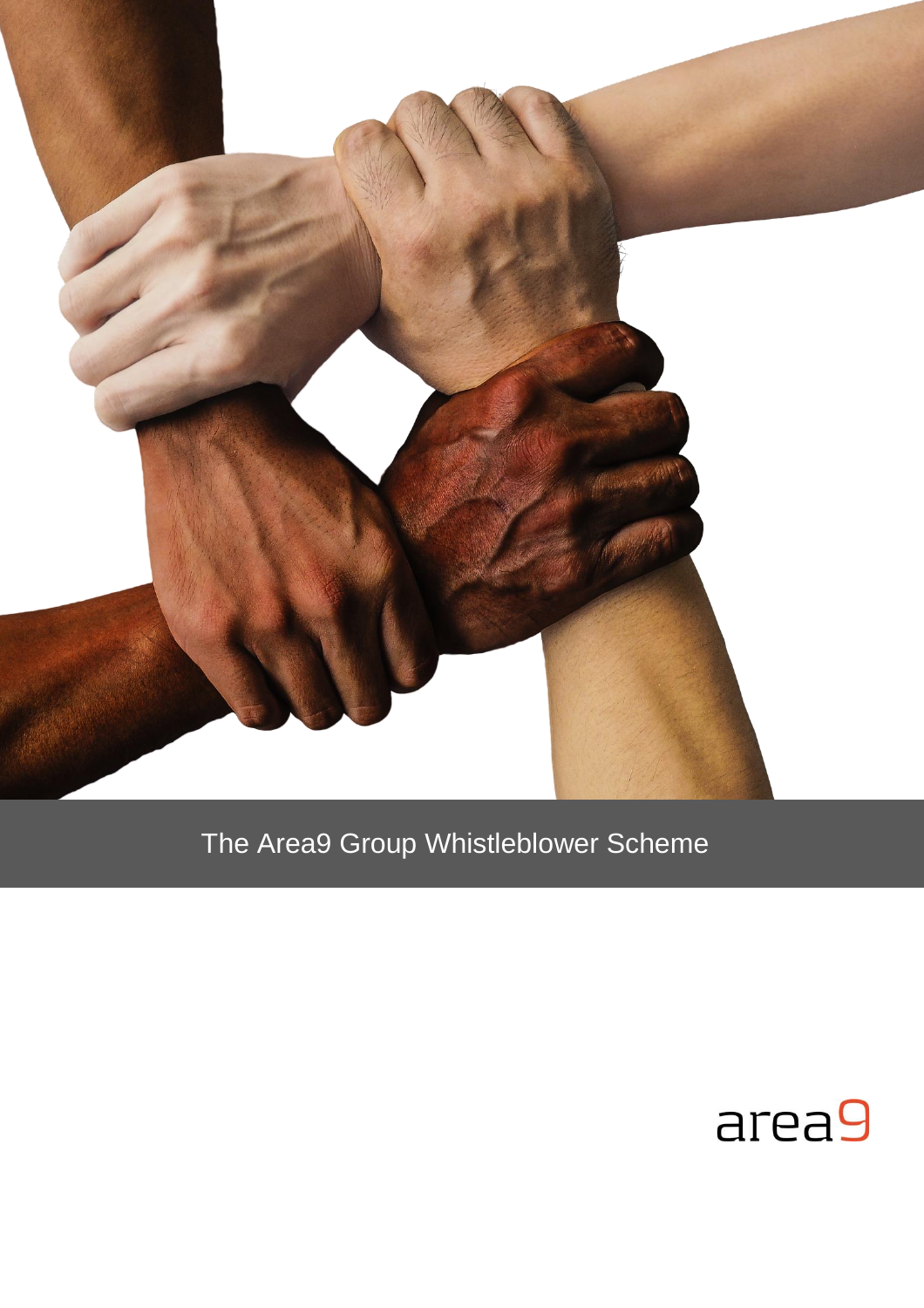

# The Area9 Group Whistleblower Scheme

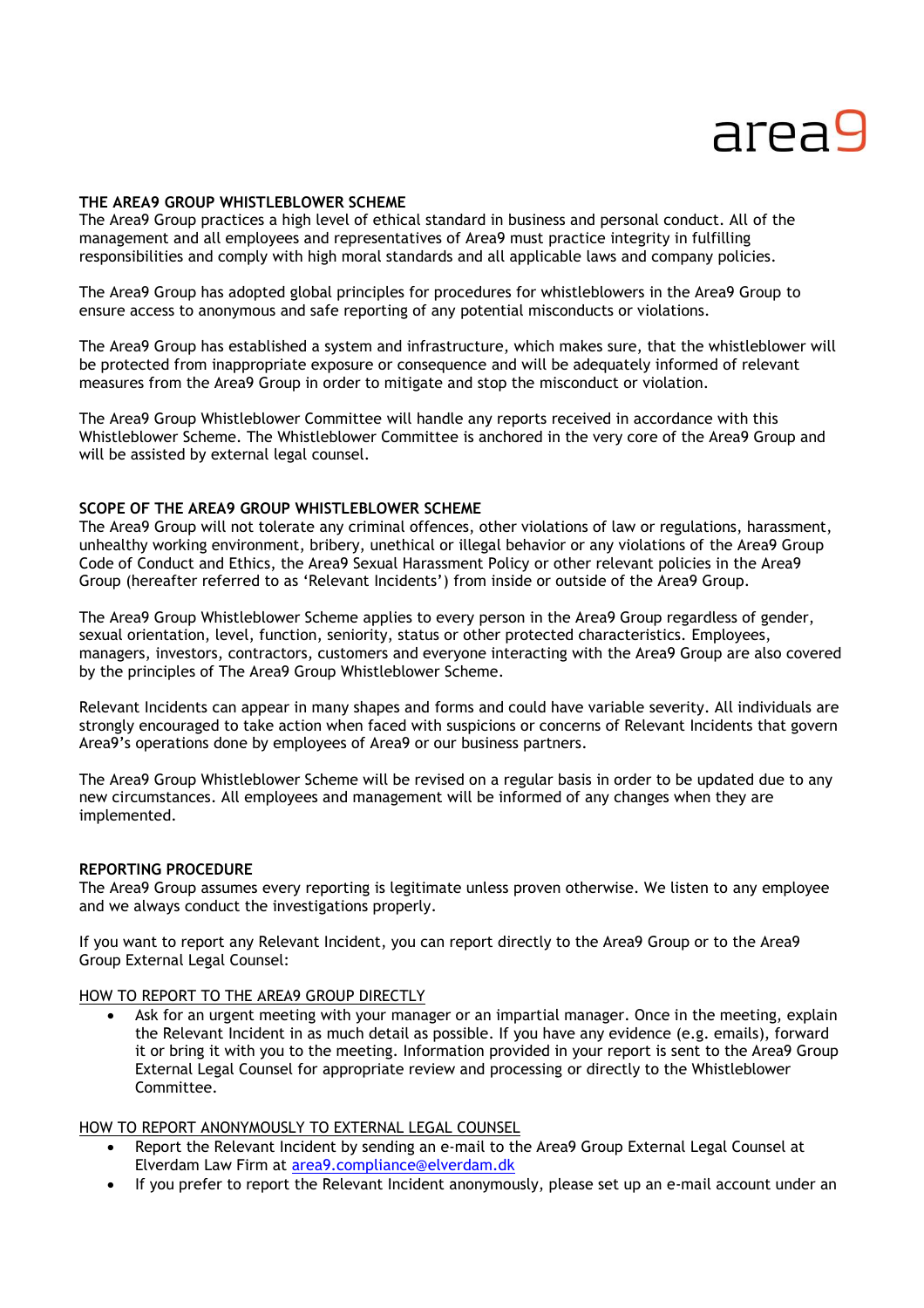# area9

#### **THE AREA9 GROUP WHISTLEBLOWER SCHEME**

The Area9 Group practices a high level of ethical standard in business and personal conduct. All of the management and all employees and representatives of Area9 must practice integrity in fulfilling responsibilities and comply with high moral standards and all applicable laws and company policies.

The Area9 Group has adopted global principles for procedures for whistleblowers in the Area9 Group to ensure access to anonymous and safe reporting of any potential misconducts or violations.

The Area9 Group has established a system and infrastructure, which makes sure, that the whistleblower will be protected from inappropriate exposure or consequence and will be adequately informed of relevant measures from the Area9 Group in order to mitigate and stop the misconduct or violation.

The Area9 Group Whistleblower Committee will handle any reports received in accordance with this Whistleblower Scheme. The Whistleblower Committee is anchored in the very core of the Area9 Group and will be assisted by external legal counsel.

#### **SCOPE OF THE AREA9 GROUP WHISTLEBLOWER SCHEME**

The Area9 Group will not tolerate any criminal offences, other violations of law or regulations, harassment, unhealthy working environment, bribery, unethical or illegal behavior or any violations of the Area9 Group Code of Conduct and Ethics, the Area9 Sexual Harassment Policy or other relevant policies in the Area9 Group (hereafter referred to as 'Relevant Incidents') from inside or outside of the Area9 Group.

The Area9 Group Whistleblower Scheme applies to every person in the Area9 Group regardless of gender, sexual orientation, level, function, seniority, status or other protected characteristics. Employees, managers, investors, contractors, customers and everyone interacting with the Area9 Group are also covered by the principles of The Area9 Group Whistleblower Scheme.

Relevant Incidents can appear in many shapes and forms and could have variable severity. All individuals are strongly encouraged to take action when faced with suspicions or concerns of Relevant Incidents that govern Area9's operations done by employees of Area9 or our business partners.

The Area9 Group Whistleblower Scheme will be revised on a regular basis in order to be updated due to any new circumstances. All employees and management will be informed of any changes when they are implemented.

#### **REPORTING PROCEDURE**

The Area9 Group assumes every reporting is legitimate unless proven otherwise. We listen to any employee and we always conduct the investigations properly.

If you want to report any Relevant Incident, you can report directly to the Area9 Group or to the Area9 Group External Legal Counsel:

#### HOW TO REPORT TO THE AREA9 GROUP DIRECTLY

 Ask for an urgent meeting with your manager or an impartial manager. Once in the meeting, explain the Relevant Incident in as much detail as possible. If you have any evidence (e.g. emails), forward it or bring it with you to the meeting. Information provided in your report is sent to the Area9 Group External Legal Counsel for appropriate review and processing or directly to the Whistleblower Committee.

#### HOW TO REPORT ANONYMOUSLY TO EXTERNAL LEGAL COUNSEL

- Report the Relevant Incident by sending an e-mail to the Area9 Group External Legal Counsel at Elverdam Law Firm at [area9.compliance@elverdam.dk](mailto:area9.compliance@elverdam.dk)
- If you prefer to report the Relevant Incident anonymously, please set up an e-mail account under an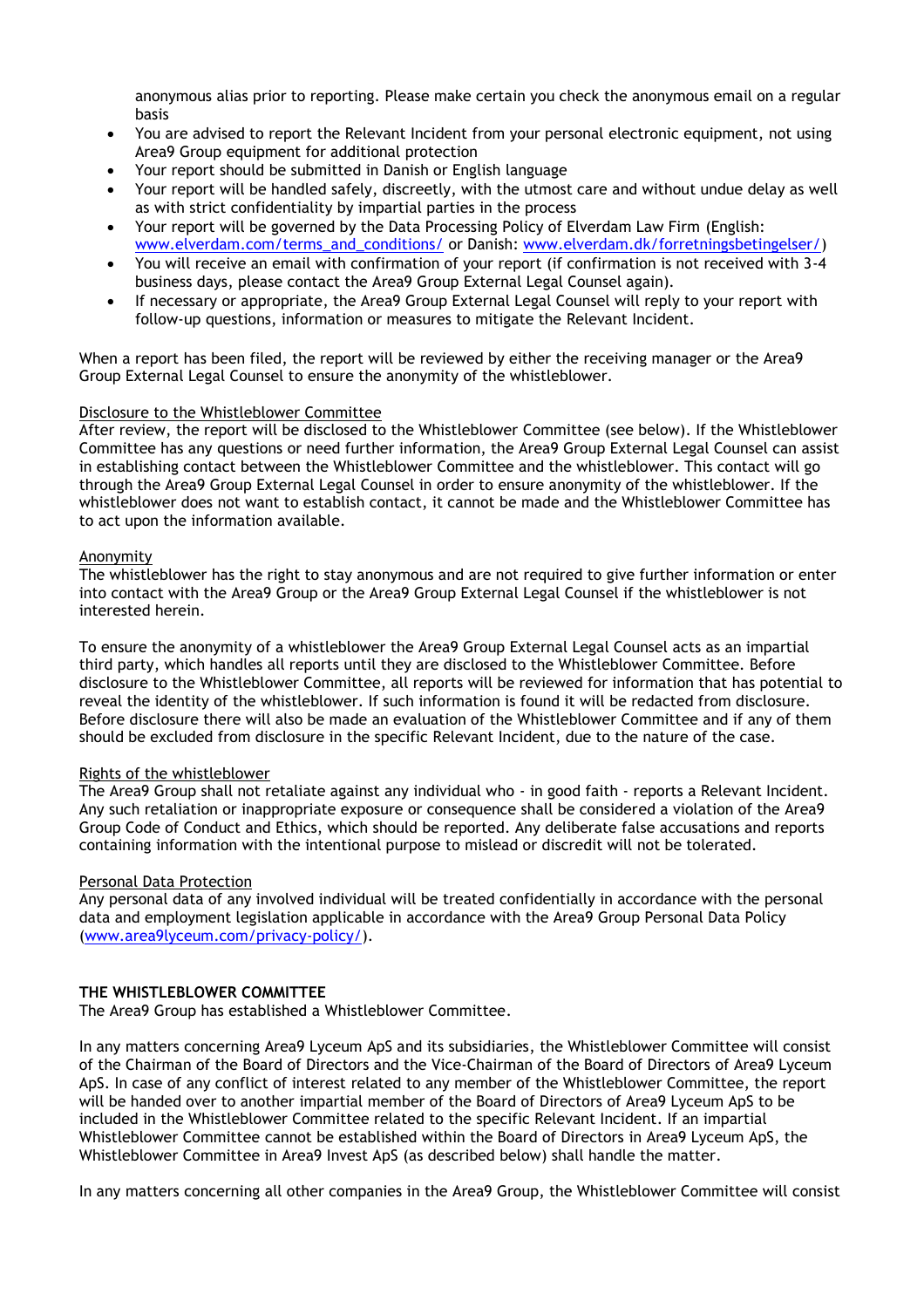anonymous alias prior to reporting. Please make certain you check the anonymous email on a regular basis

- You are advised to report the Relevant Incident from your personal electronic equipment, not using Area9 Group equipment for additional protection
- Your report should be submitted in Danish or English language
- Your report will be handled safely, discreetly, with the utmost care and without undue delay as well as with strict confidentiality by impartial parties in the process
- Your report will be governed by the Data Processing Policy of Elverdam Law Firm (English: [www.elverdam.com/terms\\_and\\_conditions/](http://www.elverdam.com/terms_and_conditions/) or Danish: [www.elverdam.dk/forretningsbetingelser/\)](http://www.elverdam.dk/forretningsbetingelser/)
- You will receive an email with confirmation of your report (if confirmation is not received with 3-4 business days, please contact the Area9 Group External Legal Counsel again).
- If necessary or appropriate, the Area9 Group External Legal Counsel will reply to your report with follow-up questions, information or measures to mitigate the Relevant Incident.

When a report has been filed, the report will be reviewed by either the receiving manager or the Area9 Group External Legal Counsel to ensure the anonymity of the whistleblower.

#### Disclosure to the Whistleblower Committee

After review, the report will be disclosed to the Whistleblower Committee (see below). If the Whistleblower Committee has any questions or need further information, the Area9 Group External Legal Counsel can assist in establishing contact between the Whistleblower Committee and the whistleblower. This contact will go through the Area9 Group External Legal Counsel in order to ensure anonymity of the whistleblower. If the whistleblower does not want to establish contact, it cannot be made and the Whistleblower Committee has to act upon the information available.

#### Anonymity

The whistleblower has the right to stay anonymous and are not required to give further information or enter into contact with the Area9 Group or the Area9 Group External Legal Counsel if the whistleblower is not interested herein.

To ensure the anonymity of a whistleblower the Area9 Group External Legal Counsel acts as an impartial third party, which handles all reports until they are disclosed to the Whistleblower Committee. Before disclosure to the Whistleblower Committee, all reports will be reviewed for information that has potential to reveal the identity of the whistleblower. If such information is found it will be redacted from disclosure. Before disclosure there will also be made an evaluation of the Whistleblower Committee and if any of them should be excluded from disclosure in the specific Relevant Incident, due to the nature of the case.

# Rights of the whistleblower

The Area9 Group shall not retaliate against any individual who - in good faith - reports a Relevant Incident. Any such retaliation or inappropriate exposure or consequence shall be considered a violation of the Area9 Group Code of Conduct and Ethics, which should be reported. Any deliberate false accusations and reports containing information with the intentional purpose to mislead or discredit will not be tolerated.

# Personal Data Protection

Any personal data of any involved individual will be treated confidentially in accordance with the personal data and employment legislation applicable in accordance with the Area9 Group Personal Data Policy [\(www.area9lyceum.com/privacy-policy/\)](http://www.area9lyceum.com/privacy-policy/).

# **THE WHISTLEBLOWER COMMITTEE**

The Area9 Group has established a Whistleblower Committee.

In any matters concerning Area9 Lyceum ApS and its subsidiaries, the Whistleblower Committee will consist of the Chairman of the Board of Directors and the Vice-Chairman of the Board of Directors of Area9 Lyceum ApS. In case of any conflict of interest related to any member of the Whistleblower Committee, the report will be handed over to another impartial member of the Board of Directors of Area9 Lyceum ApS to be included in the Whistleblower Committee related to the specific Relevant Incident. If an impartial Whistleblower Committee cannot be established within the Board of Directors in Area9 Lyceum ApS, the Whistleblower Committee in Area9 Invest ApS (as described below) shall handle the matter.

In any matters concerning all other companies in the Area9 Group, the Whistleblower Committee will consist